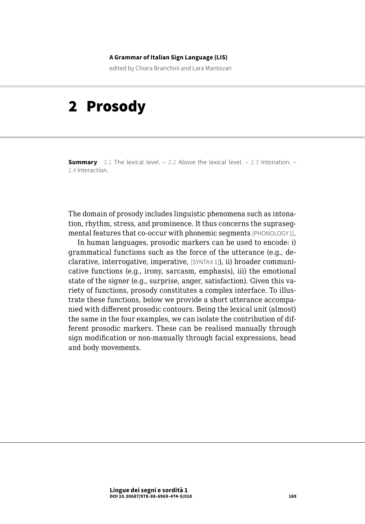#### **A Grammar of Italian Sign Language (LIS)**

edited by Chiara Branchini and Lara Mantovan

# 2 Prosody

**Summary** [2.1 The lexical level.](#page-3-0) – [2.2 Above the lexical level](#page-7-0). – [2.3 Intonation.](#page-13-0) – 2.4 [Interaction.](#page-15-0)

The domain of prosody includes linguistic phenomena such as intonation, rhythm, stress, and prominence. It thus concerns the suprasegmental features that co-occur with phonemic segments [PHONOLOGY 1].

In human languages, prosodic markers can be used to encode: i) grammatical functions such as the force of the utterance (e.g., declarative, interrogative, imperative, [SYNTAX 1]), ii) broader communicative functions (e.g., irony, sarcasm, emphasis), iii) the emotional state of the signer (e.g., surprise, anger, satisfaction). Given this variety of functions, prosody constitutes a complex interface. To illustrate these functions, below we provide a short utterance accompanied with different prosodic contours. Being the lexical unit (almost) the same in the four examples, we can isolate the contribution of different prosodic markers. These can be realised manually through sign modification or non-manually through facial expressions, head and body movements.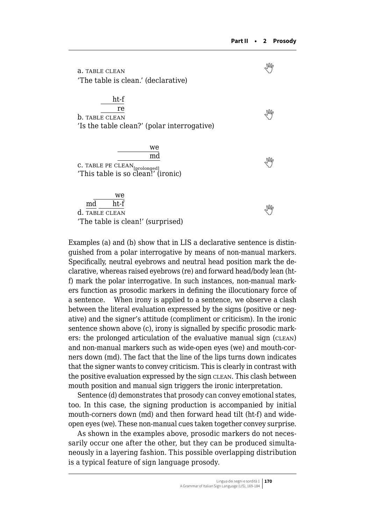a.TABLE CLEAN 'The table is clean.' (declarative) ht-f re  $\overline{\text{b}}$ .TABLE CLEAN 'Is the table clean?' (polar interrogative) **we** md **c.**TABLE PE CLEAN<sub>[prolonged]</sub>  $\frac{1}{2}$ 'This table is so clean!' (ironic) we md ht-f  $\frac{\text{m}{\text{u}}}{\text{d}}$ .Table clean 'The table is clean!' (surprised)

Examples (a) and (b) show that in LIS a declarative sentence is distinguished from a polar interrogative by means of non-manual markers. Specifically, neutral eyebrows and neutral head position mark the declarative, whereas raised eyebrows (re) and forward head/body lean (htf) mark the polar interrogative. In such instances, non-manual markers function as prosodic markers in defining the illocutionary force of a sentence. When irony is applied to a sentence, we observe a clash between the literal evaluation expressed by the signs (positive or negative) and the signer's attitude (compliment or criticism). In the ironic sentence shown above (c), irony is signalled by specific prosodic markers: the prolonged articulation of the evaluative manual sign (clean) and non-manual markers such as wide-open eyes (we) and mouth-corners down (md). The fact that the line of the lips turns down indicates that the signer wants to convey criticism. This is clearly in contrast with the positive evaluation expressed by the sign CLEAN. This clash between mouth position and manual sign triggers the ironic interpretation.

Sentence (d) demonstrates that prosody can convey emotional states, too. In this case, the signing production is accompanied by initial mouth-corners down (md) and then forward head tilt (ht-f) and wideopen eyes (we). These non-manual cues taken together convey surprise.

As shown in the examples above, prosodic markers do not necessarily occur one after the other, but they can be produced simultaneously in a layering fashion. This possible overlapping distribution is a typical feature of sign language prosody.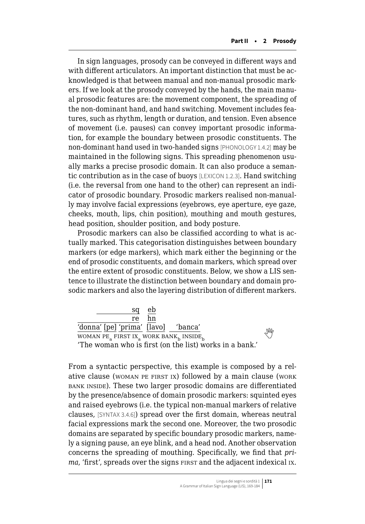In sign languages, prosody can be conveyed in different ways and with different articulators. An important distinction that must be acknowledged is that between manual and non-manual prosodic markers. If we look at the prosody conveyed by the hands, the main manual prosodic features are: the movement component, the spreading of the non-dominant hand, and hand switching. Movement includes features, such as rhythm, length or duration, and tension. Even absence of movement (i.e. pauses) can convey important prosodic information, for example the boundary between prosodic constituents. The non-dominant hand used in two-handed signs [PHONOLOGY 1.4.2] may be maintained in the following signs. This spreading phenomenon usually marks a precise prosodic domain. It can also produce a semantic contribution as in the case of buoys [LEXICON 1.2.3]. Hand switching (i.e. the reversal from one hand to the other) can represent an indicator of prosodic boundary. Prosodic markers realised non-manually may involve facial expressions (eyebrows, eye aperture, eye gaze, cheeks, mouth, lips, chin position), mouthing and mouth gestures, head position, shoulder position, and body posture.

Prosodic markers can also be classified according to what is actually marked. This categorisation distinguishes between boundary markers (or edge markers), which mark either the beginning or the end of prosodic constituents, and domain markers, which spread over the entire extent of prosodic constituents. Below, we show a LIS sentence to illustrate the distinction between boundary and domain prosodic markers and also the layering distribution of different markers.

| e <sub>b</sub><br>sq                                    |    |
|---------------------------------------------------------|----|
| hn<br>re.                                               |    |
| 'donna' [pe] 'prima' [lavo]<br>'banca'                  | Ng |
| WOMAN PE FIRST IX WORK BANK, INSIDE                     |    |
| 'The woman who is first (on the list) works in a bank.' |    |

From a syntactic perspective, this example is composed by a relative clause (woman PE FIRST IX) followed by a main clause (work bank inside). These two larger prosodic domains are differentiated by the presence/absence of domain prosodic markers: squinted eyes and raised eyebrows (i.e. the typical non-manual markers of relative clauses, [SYNTAX 3.4.6]) spread over the first domain, whereas neutral facial expressions mark the second one. Moreover, the two prosodic domains are separated by specific boundary prosodic markers, namely a signing pause, an eye blink, and a head nod. Another observation concerns the spreading of mouthing. Specifically, we find that *prima*, 'first', spreads over the signs FIRST and the adjacent indexical Ix.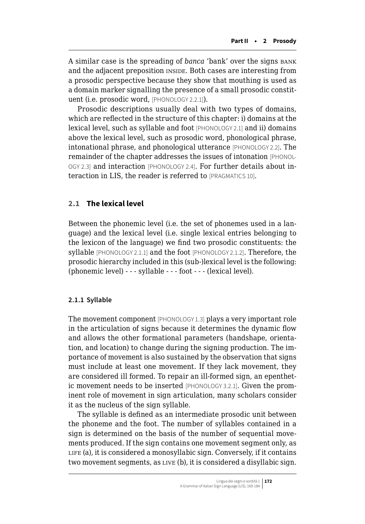<span id="page-3-0"></span>A similar case is the spreading of *banca* 'bank' over the signs bank and the adjacent preposition INSIDE. Both cases are interesting from a prosodic perspective because they show that mouthing is used as a domain marker signalling the presence of a small prosodic constituent (i.e. prosodic word, [PHONOLOGY 2.2.1]).

Prosodic descriptions usually deal with two types of domains, which are reflected in the structure of this chapter: i) domains at the lexical level, such as syllable and foot [PHONOLOGY 2.1] and ii) domains above the lexical level, such as prosodic word, phonological phrase, intonational phrase, and phonological utterance [PHONOLOGY 2.2]. The remainder of the chapter addresses the issues of intonation [PHONOL-OGY 2.3] and interaction [PHONOLOGY 2.4]. For further details about interaction in LIS, the reader is referred to [PRAGMATICS 10].

### **2.1 The lexical level**

Between the phonemic level (i.e. the set of phonemes used in a language) and the lexical level (i.e. single lexical entries belonging to the lexicon of the language) we find two prosodic constituents: the syllable [PHONOLOGY 2.1.1] and the foot [PHONOLOGY 2.1.2]. Therefore, the prosodic hierarchy included in this (sub-)lexical level is the following: (phonemic level) - - - syllable - - - foot - - - (lexical level).

#### **2.1.1 Syllable**

The movement component [PHONOLOGY 1.3] plays a very important role in the articulation of signs because it determines the dynamic flow and allows the other formational parameters (handshape, orientation, and location) to change during the signing production. The importance of movement is also sustained by the observation that signs must include at least one movement. If they lack movement, they are considered ill formed. To repair an ill-formed sign, an epenthetic movement needs to be inserted [PHONOLOGY 3.2.1]. Given the prominent role of movement in sign articulation, many scholars consider it as the nucleus of the sign syllable.

The syllable is defined as an intermediate prosodic unit between the phoneme and the foot. The number of syllables contained in a sign is determined on the basis of the number of sequential movements produced. If the sign contains one movement segment only, as LIFE (a), it is considered a monosyllabic sign. Conversely, if it contains two movement segments, as LIVE (b), it is considered a disyllabic sign.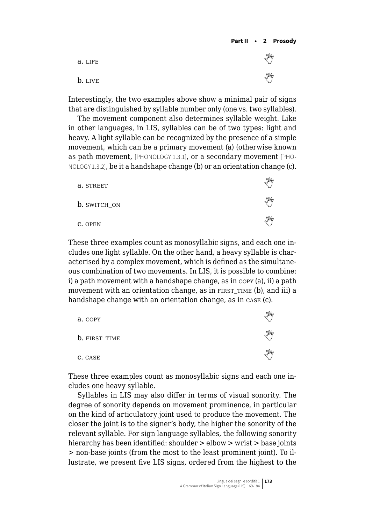| a. LIFE | M                |
|---------|------------------|
| b. LIVE | $\mathbb{W}_{c}$ |

Interestingly, the two examples above show a minimal pair of signs that are distinguished by syllable number only (one vs. two syllables).

The movement component also determines syllable weight. Like in other languages, in LIS, syllables can be of two types: light and heavy. A light syllable can be recognized by the presence of a simple movement, which can be a primary movement (a) (otherwise known as path movement, [PHONOLOGY 1.3.1], or a secondary movement [PHO-NOLOGY 1.3.2], be it a handshape change (b) or an orientation change (c).

| a. STREET    |  |
|--------------|--|
| b. SWITCH_ON |  |
| C. OPEN      |  |

These three examples count as monosyllabic signs, and each one includes one light syllable. On the other hand, a heavy syllable is characterised by a complex movement, which is defined as the simultaneous combination of two movements. In LIS, it is possible to combine: i) a path movement with a handshape change, as in copy (a), ii) a path movement with an orientation change, as in FIRST TIME (b), and iii) a handshape change with an orientation change, as in case (c).

| a. COPY       |            |
|---------------|------------|
| b. FIRST_TIME | $\sqrt{M}$ |
| C. CASE       | $\sqrt{M}$ |

These three examples count as monosyllabic signs and each one includes one heavy syllable.

Syllables in LIS may also differ in terms of visual sonority. The degree of sonority depends on movement prominence, in particular on the kind of articulatory joint used to produce the movement. The closer the joint is to the signer's body, the higher the sonority of the relevant syllable. For sign language syllables, the following sonority hierarchy has been identified: shoulder > elbow > wrist > base joints > non-base joints (from the most to the least prominent joint). To illustrate, we present five LIS signs, ordered from the highest to the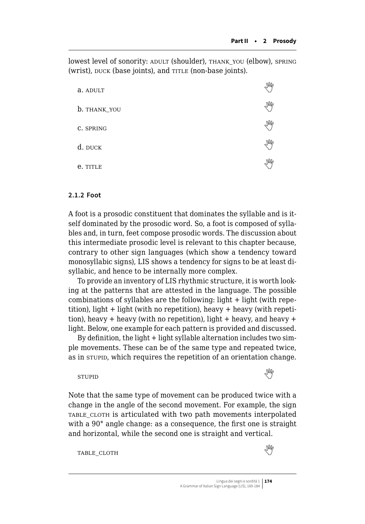lowest level of sonority: ADULT (shoulder), THANK\_YOU (elbow), SPRING (wrist), DUCK (base joints), and TITLE (non-base joints).

| a. ADULT     | M                   |
|--------------|---------------------|
| b. THANK_YOU | M                   |
| C. SPRING    | M                   |
| d. DUCK      | $\sqrt{M_{\gamma}}$ |
| e. TITLE     | M                   |

#### **2.1.2 Foot**

A foot is a prosodic constituent that dominates the syllable and is itself dominated by the prosodic word. So, a foot is composed of syllables and, in turn, feet compose prosodic words. The discussion about this intermediate prosodic level is relevant to this chapter because, contrary to other sign languages (which show a tendency toward monosyllabic signs), LIS shows a tendency for signs to be at least disyllabic, and hence to be internally more complex.

To provide an inventory of LIS rhythmic structure, it is worth looking at the patterns that are attested in the language. The possible combinations of syllables are the following: light + light (with repetition), light  $+$  light (with no repetition), heavy  $+$  heavy (with repetition), heavy + heavy (with no repetition), light + heavy, and heavy + light. Below, one example for each pattern is provided and discussed.

By definition, the light + light syllable alternation includes two simple movements. These can be of the same type and repeated twice, as in stupid, which requires the repetition of an orientation change.

and horizontal, while the second one is straight and vertical.

## stupidand the stupid of the stupid stupid of the stupid stupid stupid stupid stupid stupid stupid stupid stup

Note that the same type of movement can be produced twice with a change in the angle of the second movement. For example, the sign TABLE CLOTH is articulated with two path movements interpolated with a 90° angle change: as a consequence, the first one is straight

table\_cloth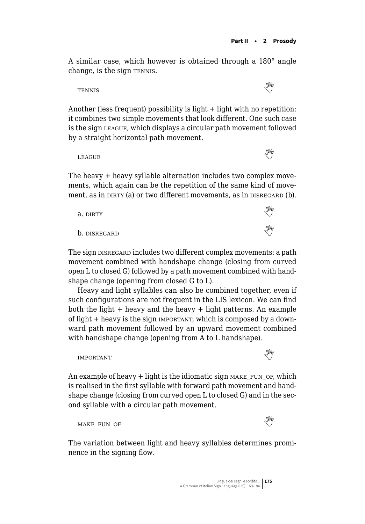A similar case, which however is obtained through a 180° angle change, is the sign TENNIS.

tennis 

Another (less frequent) possibility is light + light with no repetition: it combines two simple movements that look different. One such case is the sign league, which displays a circular path movement followed by a straight horizontal path movement.

LEAGUE**And the COVID-19** 

The heavy + heavy syllable alternation includes two complex movements, which again can be the repetition of the same kind of movement, as in DIRTY (a) or two different movements, as in DISREGARD (b).

| a. DIRTY     | M                |
|--------------|------------------|
| b. disregard | $\mathbb{W}_{c}$ |

The sign DISREGARD includes two different complex movements: a path movement combined with handshape change (closing from curved open L to closed G) followed by a path movement combined with handshape change (opening from closed G to L).

Heavy and light syllables can also be combined together, even if such configurations are not frequent in the LIS lexicon. We can find both the light  $+$  heavy and the heavy  $+$  light patterns. An example of light  $+$  heavy is the sign important, which is composed by a downward path movement followed by an upward movement combined with handshape change (opening from A to L handshape).



An example of heavy  $+$  light is the idiomatic sign  $MKE_FUN_OF$ , which is realised in the first syllable with forward path movement and handshape change (closing from curved open L to closed G) and in the second syllable with a circular path movement.

```
MAKE_FUN_OF
```
The variation between light and heavy syllables determines prominence in the signing flow.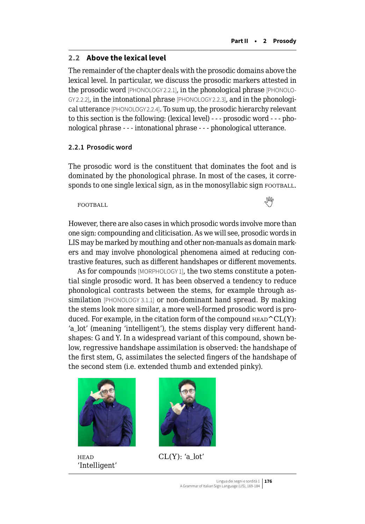#### <span id="page-7-0"></span>**2.2 Above the lexical level**

The remainder of the chapter deals with the prosodic domains above the lexical level. In particular, we discuss the prosodic markers attested in the prosodic word [PHONOLOGY 2.2.1], in the phonological phrase [PHONOLO-GY 2.2.2], in the intonational phrase [PHONOLOGY 2.2.3], and in the phonological utterance [PHONOLOGY 2.2.4]. To sum up, the prosodic hierarchy relevant to this section is the following: (lexical level) - - - prosodic word - - - phonological phrase - - - intonational phrase - - - phonological utterance.

#### **2.2.1 Prosodic word**

The prosodic word is the constituent that dominates the foot and is dominated by the phonological phrase. In most of the cases, it corresponds to one single lexical sign, as in the monosyllabic sign FOOTBALL.

## FOOTBALLWE

However, there are also cases in which prosodic words involve more than one sign: compounding and cliticisation. As we will see, prosodic words in LIS may be marked by mouthing and other non-manuals as domain markers and may involve phonological phenomena aimed at reducing contrastive features, such as different handshapes or different movements.

As for compounds [MORPHOLOGY 1], the two stems constitute a potential single prosodic word. It has been observed a tendency to reduce phonological contrasts between the stems, for example through assimilation [PHONOLOGY 3.1.1] or non-dominant hand spread. By making the stems look more similar, a more well-formed prosodic word is produced. For example, in the citation form of the compound  $H_{EAD}^CCL(Y)$ : 'a\_lot' (meaning 'intelligent'), the stems display very different handshapes: G and Y. In a widespread variant of this compound, shown below, regressive handshape assimilation is observed: the handshape of the first stem, G, assimilates the selected fingers of the handshape of the second stem (i.e. extended thumb and extended pinky).



'Intelligent'



 $CL(Y)$ : 'a lot'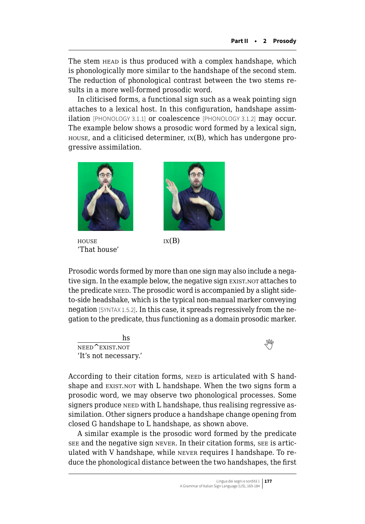The stem HEAD is thus produced with a complex handshape, which is phonologically more similar to the handshape of the second stem. The reduction of phonological contrast between the two stems results in a more well-formed prosodic word.

In cliticised forms, a functional sign such as a weak pointing sign attaches to a lexical host. In this configuration, handshape assimilation [PHONOLOGY 3.1.1] or coalescence [PHONOLOGY 3.1.2] may occur. The example below shows a prosodic word formed by a lexical sign,  $h$  house, and a cliticised determiner,  $I(X|B)$ , which has undergone progressive assimilation.



 $h_{\text{HOLSE}}$  ix(B) 'That house'



Prosodic words formed by more than one sign may also include a negative sign. In the example below, the negative sign EXIST, NOT attaches to the predicate need. The prosodic word is accompanied by a slight sideto-side headshake, which is the typical non-manual marker conveying negation [SYNTAX 1.5.2]. In this case, it spreads regressively from the negation to the predicate, thus functioning as a domain prosodic marker.

hs NEEDEXIST.NOT 'It's not necessary.'

According to their citation forms, NEED is articulated with S handshape and EXIST.NOT with L handshape. When the two signs form a prosodic word, we may observe two phonological processes. Some signers produce need with L handshape, thus realising regressive assimilation. Other signers produce a handshape change opening from closed G handshape to L handshape, as shown above.

A similar example is the prosodic word formed by the predicate see and the negative sign never. In their citation forms, see is articulated with V handshape, while never requires I handshape. To reduce the phonological distance between the two handshapes, the first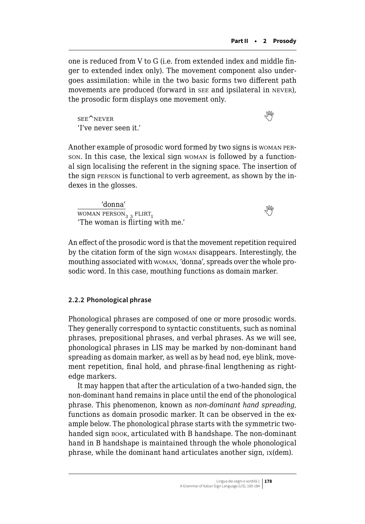one is reduced from V to G (i.e. from extended index and middle finger to extended index only). The movement component also undergoes assimilation: while in the two basic forms two different path movements are produced (forward in see and ipsilateral in never), the prosodic form displays one movement only.

seeNever New York and the Second State of the Second State of the Second State of the Second State of the Second State of the Second State of the Second State of the Second State of the Second State of the Second State of 'I've never seen it.'

Another example of prosodic word formed by two signs is woman person. In this case, the lexical sign woman is followed by a functional sign localising the referent in the signing space. The insertion of the sign person is functional to verb agreement, as shown by the indexes in the glosses.

'donna'  $\frac{100 \text{ m}}{100 \text{ N}}$  $\frac{100 \text{ m}}{100 \text{ N}}$  $\frac{100 \text{ m}}{100 \text{ N}}$   $\frac{100 \text{ m}}{100 \text{ N}}$   $\frac{100 \text{ m}}{100 \text{ N}}$ 'The woman is flirting with me.'

An effect of the prosodic word is that the movement repetition required by the citation form of the sign woman disappears. Interestingly, the mouthing associated with woman, 'donna', spreads over the whole prosodic word. In this case, mouthing functions as domain marker.

## **2.2.2 Phonological phrase**

Phonological phrases are composed of one or more prosodic words. They generally correspond to syntactic constituents, such as nominal phrases, prepositional phrases, and verbal phrases. As we will see, phonological phrases in LIS may be marked by non-dominant hand spreading as domain marker, as well as by head nod, eye blink, movement repetition, final hold, and phrase-final lengthening as rightedge markers.

It may happen that after the articulation of a two-handed sign, the non-dominant hand remains in place until the end of the phonological phrase. This phenomenon, known as *non-dominant hand spreading*, functions as domain prosodic marker. It can be observed in the example below. The phonological phrase starts with the symmetric twohanded sign book, articulated with B handshape. The non-dominant hand in B handshape is maintained through the whole phonological phrase, while the dominant hand articulates another sign, ix(dem).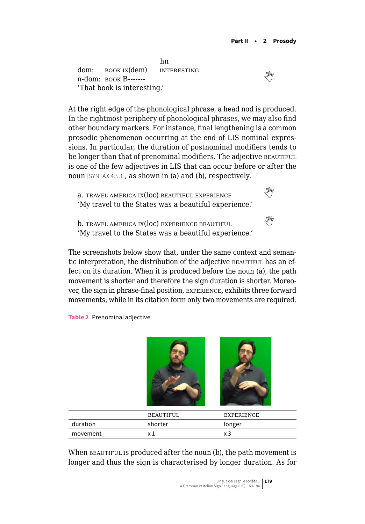hn dom: **book ix(dem)** INTERESTING n-dom:book Ix(ue) INTERESTING<br>n-dom: book B------'That book is interesting.'

At the right edge of the phonological phrase, a head nod is produced. In the rightmost periphery of phonological phrases, we may also find other boundary markers. For instance, final lengthening is a common prosodic phenomenon occurring at the end of LIS nominal expressions. In particular, the duration of postnominal modifiers tends to be longer than that of prenominal modifiers. The adjective BEAUTIFUL is one of the few adjectives in LIS that can occur before or after the noun [SYNTAX 4.5.1], as shown in (a) and (b), respectively.

 $a.$ travel america  $ix(loc)$  beautiful experience 'My travel to the States was a beautiful experience.'

<sup>b</sup>. travel america ix(loc) experience beautiful  'My travel to the States was a beautiful experience.'

The screenshots below show that, under the same context and semantic interpretation, the distribution of the adjective BEAUTIFUL has an effect on its duration. When it is produced before the noun (a), the path movement is shorter and therefore the sign duration is shorter. Moreover, the sign in phrase-final position, experience, exhibits three forward movements, while in its citation form only two movements are required.

**Table 2** Prenominal adjective



|          | BEAUTIFUL  | EXPERIENCE |
|----------|------------|------------|
| duration | shorter    | longer     |
| movement | $\sqrt{ }$ |            |

When BEAUTIFUL is produced after the noun (b), the path movement is longer and thus the sign is characterised by longer duration. As for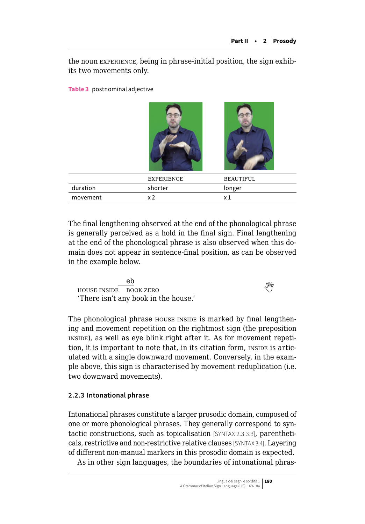the noun experience, being in phrase-initial position, the sign exhibits two movements only.

**Table 3** postnominal adjective

|          | <b>EXPERIENCE</b> | <b>BEAUTIFUL</b> |
|----------|-------------------|------------------|
| duration | shorter           | longer           |
| movement | x 2               | $\times 1$       |
|          |                   |                  |

The final lengthening observed at the end of the phonological phrase is generally perceived as a hold in the final sign. Final lengthening at the end of the phonological phrase is also observed when this domain does not appear in sentence-final position, as can be observed in the example below.

eb house inside book zero  'There isn't any book in the house.'

The phonological phrase house inside is marked by final lengthening and movement repetition on the rightmost sign (the preposition inside), as well as eye blink right after it. As for movement repetition, it is important to note that, in its citation form, INSIDE is articulated with a single downward movement. Conversely, in the example above, this sign is characterised by movement reduplication (i.e. two downward movements).

## **2.2.3 Intonational phrase**

Intonational phrases constitute a larger prosodic domain, composed of one or more phonological phrases. They generally correspond to syntactic constructions, such as topicalisation [SYNTAX 2.3.3.3], parentheticals, restrictive and non-restrictive relative clauses [SYNTAX 3.4]. Layering of different non-manual markers in this prosodic domain is expected.

As in other sign languages, the boundaries of intonational phras-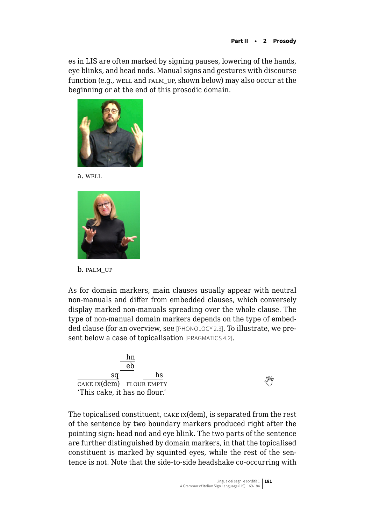es in LIS are often marked by signing pauses, lowering of the hands, eye blinks, and head nods. Manual signs and gestures with discourse function (e.g., WELL and PALM\_UP, shown below) may also occur at the beginning or at the end of this prosodic domain.



a. well



b. palm\_up

As for domain markers, main clauses usually appear with neutral non-manuals and differ from embedded clauses, which conversely display marked non-manuals spreading over the whole clause. The type of non-manual domain markers depends on the type of embedded clause (for an overview, see [PHONOLOGY 2.3]. To illustrate, we present below a case of topicalisation [PRAGMATICS 4.2].

| hn                            |   |
|-------------------------------|---|
| er                            |   |
| hs<br>sa                      |   |
| CAKE $IX$ (dem) FLOUR EMPTY   | M |
| 'This cake, it has no flour.' |   |

The topicalised constituent, cake ix(dem), is separated from the rest of the sentence by two boundary markers produced right after the pointing sign: head nod and eye blink. The two parts of the sentence are further distinguished by domain markers, in that the topicalised constituent is marked by squinted eyes, while the rest of the sentence is not. Note that the side-to-side headshake co-occurring with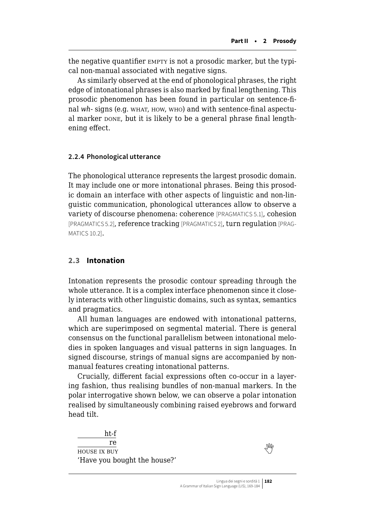<span id="page-13-0"></span>the negative quantifier EMPTY is not a prosodic marker, but the typical non-manual associated with negative signs.

As similarly observed at the end of phonological phrases, the right edge of intonational phrases is also marked by final lengthening. This prosodic phenomenon has been found in particular on sentence-final wh- signs (e.g. WHAT, HOW, WHO) and with sentence-final aspectual marker pone, but it is likely to be a general phrase final lengthening effect.

#### **2.2.4 Phonological utterance**

The phonological utterance represents the largest prosodic domain. It may include one or more intonational phrases. Being this prosodic domain an interface with other aspects of linguistic and non-linguistic communication, phonological utterances allow to observe a variety of discourse phenomena: coherence [PRAGMATICS 5.1], cohesion [PRAGMATICS 5.2], reference tracking [PRAGMATICS 2], turn regulation [PRAG-MATICS 10.2].

## **2.3 Intonation**

Intonation represents the prosodic contour spreading through the whole utterance. It is a complex interface phenomenon since it closely interacts with other linguistic domains, such as syntax, semantics and pragmatics.

All human languages are endowed with intonational patterns, which are superimposed on segmental material. There is general consensus on the functional parallelism between intonational melodies in spoken languages and visual patterns in sign languages. In signed discourse, strings of manual signs are accompanied by nonmanual features creating intonational patterns.

Crucially, different facial expressions often co-occur in a layering fashion, thus realising bundles of non-manual markers. In the polar interrogative shown below, we can observe a polar intonation realised by simultaneously combining raised eyebrows and forward head tilt.

ht-f re  $\frac{16}{100}$  $\frac{1}{20}$ 'Have you bought the house?'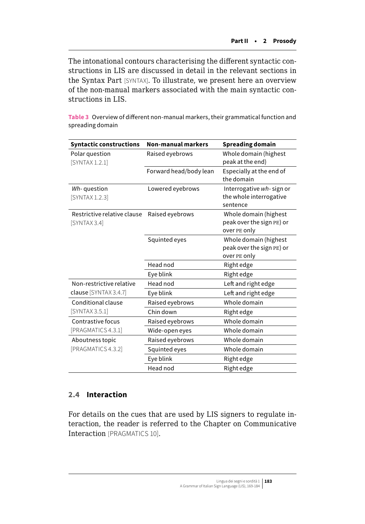The intonational contours characterising the different syntactic constructions in LIS are discussed in detail in the relevant sections in the Syntax Part [SYNTAX]. To illustrate, we present here an overview of the non-manual markers associated with the main syntactic constructions in LIS.

**Table 3** Overview of different non-manual markers, their grammatical function and spreading domain

| <b>Syntactic constructions</b>              | <b>Non-manual markers</b> | <b>Spreading domain</b>                                            |
|---------------------------------------------|---------------------------|--------------------------------------------------------------------|
| Polar question<br>[SYNTAX 1.2.1]            | Raised eyebrows           | Whole domain (highest<br>peak at the end)                          |
|                                             | Forward head/body lean    | Especially at the end of<br>the domain                             |
| Wh-question<br>[SYNTAX 1.2.3]               | Lowered eyebrows          | Interrogative wh-sign or<br>the whole interrogative<br>sentence    |
| Restrictive relative clause<br>[SYNTAX 3.4] | Raised eyebrows           | Whole domain (highest<br>peak over the sign PE) or<br>over PE only |
|                                             | Squinted eyes             | Whole domain (highest<br>peak over the sign PE) or<br>over PE only |
|                                             | Head nod                  | Right edge                                                         |
|                                             | Eye blink                 | Right edge                                                         |
| Non-restrictive relative                    | Head nod                  | Left and right edge                                                |
| clause [SYNTAX 3.4.7]                       | Eye blink                 | Left and right edge                                                |
| Conditional clause                          | Raised eyebrows           | Whole domain                                                       |
| [SYNTAX 3.5.1]                              | Chin down                 | Right edge                                                         |
| Contrastive focus                           | Raised eyebrows           | Whole domain                                                       |
| [PRAGMATICS 4.3.1]                          | Wide-open eyes            | Whole domain                                                       |
| Aboutness topic                             | Raised eyebrows           | Whole domain                                                       |
| [PRAGMATICS 4.3.2]                          | Squinted eyes             | Whole domain                                                       |
|                                             | Eye blink                 | Right edge                                                         |
|                                             | Head nod                  | Right edge                                                         |

## **2.4 Interaction**

For details on the cues that are used by LIS signers to regulate interaction, the reader is referred to the Chapter on Communicative Interaction [PRAGMATICS 10].